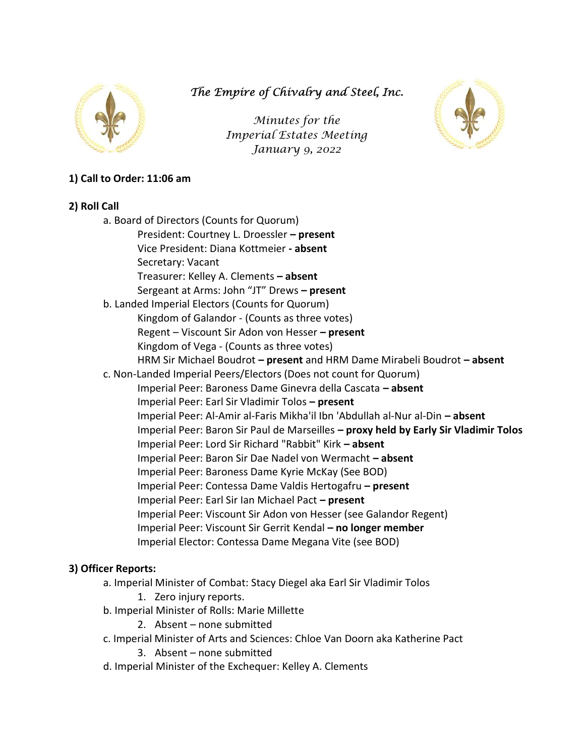

The Empire of Chivalry and Steel, Inc.

Minutes for the Imperial Estates Meeting January 9, 2022



# 1) Call to Order: 11:06 am

## 2) Roll Call

a. Board of Directors (Counts for Quorum) President: Courtney L. Droessler – present Vice President: Diana Kottmeier - absent Secretary: Vacant Treasurer: Kelley A. Clements – absent Sergeant at Arms: John "JT" Drews - present b. Landed Imperial Electors (Counts for Quorum) Kingdom of Galandor - (Counts as three votes) Regent – Viscount Sir Adon von Hesser – present Kingdom of Vega - (Counts as three votes) HRM Sir Michael Boudrot – present and HRM Dame Mirabeli Boudrot – absent c. Non-Landed Imperial Peers/Electors (Does not count for Quorum) Imperial Peer: Baroness Dame Ginevra della Cascata – absent Imperial Peer: Earl Sir Vladimir Tolos – present Imperial Peer: Al-Amir al-Faris Mikha'il Ibn 'Abdullah al-Nur al-Din – absent Imperial Peer: Baron Sir Paul de Marseilles – proxy held by Early Sir Vladimir Tolos Imperial Peer: Lord Sir Richard "Rabbit" Kirk – absent Imperial Peer: Baron Sir Dae Nadel von Wermacht – absent Imperial Peer: Baroness Dame Kyrie McKay (See BOD) Imperial Peer: Contessa Dame Valdis Hertogafru – present Imperial Peer: Earl Sir Ian Michael Pact – present Imperial Peer: Viscount Sir Adon von Hesser (see Galandor Regent) Imperial Peer: Viscount Sir Gerrit Kendal – no longer member Imperial Elector: Contessa Dame Megana Vite (see BOD)

## 3) Officer Reports:

- a. Imperial Minister of Combat: Stacy Diegel aka Earl Sir Vladimir Tolos 1. Zero injury reports.
- b. Imperial Minister of Rolls: Marie Millette
	- 2. Absent none submitted
- c. Imperial Minister of Arts and Sciences: Chloe Van Doorn aka Katherine Pact
	- 3. Absent none submitted
- d. Imperial Minister of the Exchequer: Kelley A. Clements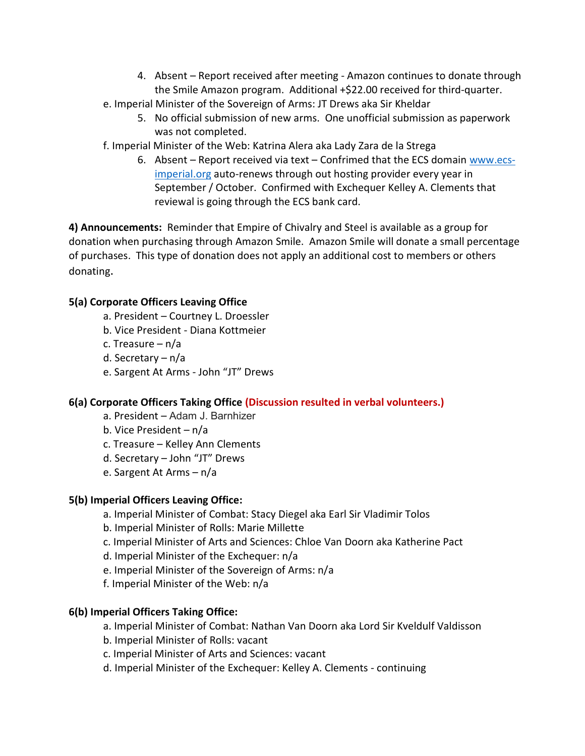- 4. Absent Report received after meeting Amazon continues to donate through the Smile Amazon program. Additional +\$22.00 received for third-quarter.
- e. Imperial Minister of the Sovereign of Arms: JT Drews aka Sir Kheldar
	- 5. No official submission of new arms. One unofficial submission as paperwork was not completed.
- f. Imperial Minister of the Web: Katrina Alera aka Lady Zara de la Strega
	- 6. Absent Report received via text Confrimed that the ECS domain www.ecsimperial.org auto-renews through out hosting provider every year in September / October. Confirmed with Exchequer Kelley A. Clements that reviewal is going through the ECS bank card.

4) Announcements: Reminder that Empire of Chivalry and Steel is available as a group for donation when purchasing through Amazon Smile. Amazon Smile will donate a small percentage of purchases. This type of donation does not apply an additional cost to members or others donating.

## 5(a) Corporate Officers Leaving Office

- a. President Courtney L. Droessler
- b. Vice President Diana Kottmeier
- c. Treasure n/a
- d. Secretary n/a
- e. Sargent At Arms John "JT" Drews

# 6(a) Corporate Officers Taking Office (Discussion resulted in verbal volunteers.)

- a. President Adam J. Barnhizer
- b. Vice President n/a
- c. Treasure Kelley Ann Clements
- d. Secretary John "JT" Drews
- e. Sargent At Arms n/a

# 5(b) Imperial Officers Leaving Office:

- a. Imperial Minister of Combat: Stacy Diegel aka Earl Sir Vladimir Tolos
- b. Imperial Minister of Rolls: Marie Millette
- c. Imperial Minister of Arts and Sciences: Chloe Van Doorn aka Katherine Pact
- d. Imperial Minister of the Exchequer: n/a
- e. Imperial Minister of the Sovereign of Arms: n/a
- f. Imperial Minister of the Web: n/a

# 6(b) Imperial Officers Taking Office:

- a. Imperial Minister of Combat: Nathan Van Doorn aka Lord Sir Kveldulf Valdisson
- b. Imperial Minister of Rolls: vacant
- c. Imperial Minister of Arts and Sciences: vacant
- d. Imperial Minister of the Exchequer: Kelley A. Clements continuing